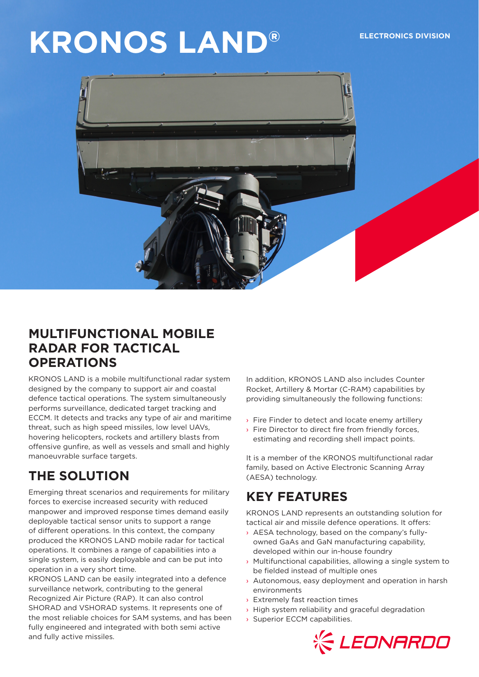# **KRONOS LAND® ELECTRONICS DIVISION**



## **MULTIFUNCTIONAL MOBILE RADAR FOR TACTICAL OPERATIONS**

KRONOS LAND is a mobile multifunctional radar system designed by the company to support air and coastal defence tactical operations. The system simultaneously performs surveillance, dedicated target tracking and ECCM. It detects and tracks any type of air and maritime threat, such as high speed missiles, low level UAVs, hovering helicopters, rockets and artillery blasts from offensive gunfire, as well as vessels and small and highly manoeuvrable surface targets.

## **THE SOLUTION**

Emerging threat scenarios and requirements for military forces to exercise increased security with reduced manpower and improved response times demand easily deployable tactical sensor units to support a range of different operations. In this context, the company produced the KRONOS LAND mobile radar for tactical operations. It combines a range of capabilities into a single system, is easily deployable and can be put into operation in a very short time.

KRONOS LAND can be easily integrated into a defence surveillance network, contributing to the general Recognized Air Picture (RAP). It can also control SHORAD and VSHORAD systems. It represents one of the most reliable choices for SAM systems, and has been fully engineered and integrated with both semi active and fully active missiles.

In addition, KRONOS LAND also includes Counter Rocket, Artillery & Mortar (C-RAM) capabilities by providing simultaneously the following functions:

- › Fire Finder to detect and locate enemy artillery
- › Fire Director to direct fire from friendly forces, estimating and recording shell impact points.

It is a member of the KRONOS multifunctional radar family, based on Active Electronic Scanning Array (AESA) technology.

## **KEY FEATURES**

KRONOS LAND represents an outstanding solution for tactical air and missile defence operations. It offers:

- › AESA technology, based on the company's fullyowned GaAs and GaN manufacturing capability, developed within our in-house foundry
- › Multifunctional capabilities, allowing a single system to be fielded instead of multiple ones
- › Autonomous, easy deployment and operation in harsh environments
- › Extremely fast reaction times
- › High system reliability and graceful degradation
- › Superior ECCM capabilities.